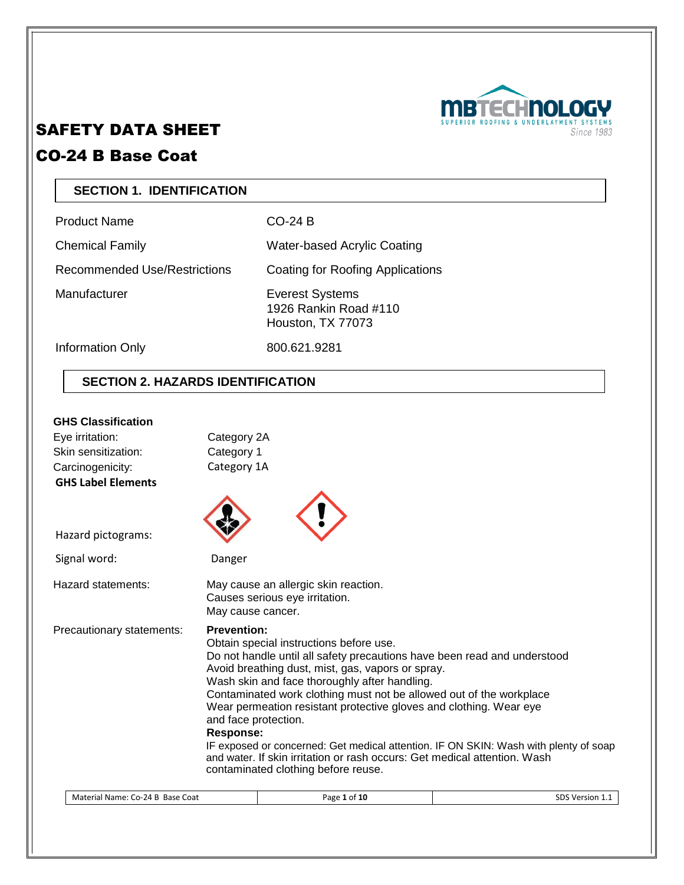

# SAFETY DATA SHEET

# CO-24 B Base Coat

# **SECTION 1. IDENTIFICATION**

Product Name CO-24 B

Chemical Family Water-based Acrylic Coating

Recommended Use/Restrictions Coating for Roofing Applications

Manufacturer **Everest Systems** 1926 Rankin Road #110 Houston, TX 77073

Information Only 800.621.9281

# **SECTION 2. HAZARDS IDENTIFICATION**

## **GHS Classification**

| Eye irritation:<br>Skin sensitization:        | Category 2A<br>Category 1                                                                                                                                                                                                                                                                                                                                                                                                                                                                                                                                                                                                                            |                 |
|-----------------------------------------------|------------------------------------------------------------------------------------------------------------------------------------------------------------------------------------------------------------------------------------------------------------------------------------------------------------------------------------------------------------------------------------------------------------------------------------------------------------------------------------------------------------------------------------------------------------------------------------------------------------------------------------------------------|-----------------|
| Carcinogenicity:<br><b>GHS Label Elements</b> | Category 1A                                                                                                                                                                                                                                                                                                                                                                                                                                                                                                                                                                                                                                          |                 |
| Hazard pictograms:                            |                                                                                                                                                                                                                                                                                                                                                                                                                                                                                                                                                                                                                                                      |                 |
| Signal word:                                  | Danger                                                                                                                                                                                                                                                                                                                                                                                                                                                                                                                                                                                                                                               |                 |
| Hazard statements:                            | May cause an allergic skin reaction.<br>Causes serious eye irritation.<br>May cause cancer.                                                                                                                                                                                                                                                                                                                                                                                                                                                                                                                                                          |                 |
| Precautionary statements:                     | <b>Prevention:</b><br>Obtain special instructions before use.<br>Do not handle until all safety precautions have been read and understood<br>Avoid breathing dust, mist, gas, vapors or spray.<br>Wash skin and face thoroughly after handling.<br>Contaminated work clothing must not be allowed out of the workplace<br>Wear permeation resistant protective gloves and clothing. Wear eye<br>and face protection.<br><b>Response:</b><br>IF exposed or concerned: Get medical attention. IF ON SKIN: Wash with plenty of soap<br>and water. If skin irritation or rash occurs: Get medical attention. Wash<br>contaminated clothing before reuse. |                 |
| Material Name: Co-24 B Base Coat              | Page 1 of 10                                                                                                                                                                                                                                                                                                                                                                                                                                                                                                                                                                                                                                         | SDS Version 1.1 |
|                                               |                                                                                                                                                                                                                                                                                                                                                                                                                                                                                                                                                                                                                                                      |                 |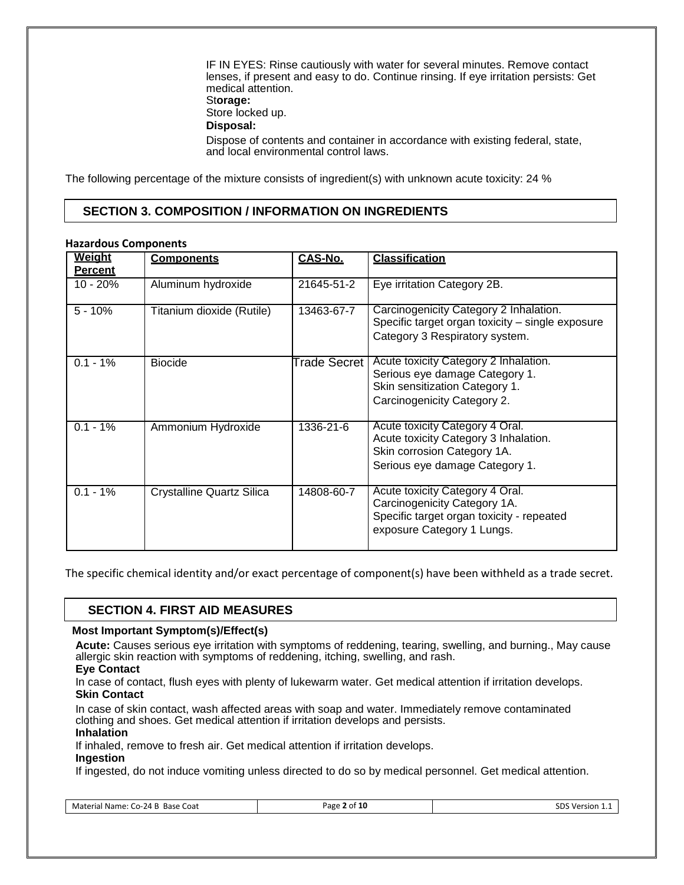IF IN EYES: Rinse cautiously with water for several minutes. Remove contact lenses, if present and easy to do. Continue rinsing. If eye irritation persists: Get medical attention. St**orage:** Store locked up. **Disposal:** Dispose of contents and container in accordance with existing federal, state, and local environmental control laws.

The following percentage of the mixture consists of ingredient(s) with unknown acute toxicity: 24 %

# **SECTION 3. COMPOSITION / INFORMATION ON INGREDIENTS**

#### **Hazardous Components**

| Weiaht<br><b>Percent</b> | <b>Components</b>                | <b>CAS-No.</b> | <b>Classification</b>                                                                                                                      |
|--------------------------|----------------------------------|----------------|--------------------------------------------------------------------------------------------------------------------------------------------|
| $10 - 20%$               | Aluminum hydroxide               | 21645-51-2     | Eye irritation Category 2B.                                                                                                                |
| $5 - 10%$                | Titanium dioxide (Rutile)        | 13463-67-7     | Carcinogenicity Category 2 Inhalation.<br>Specific target organ toxicity - single exposure<br>Category 3 Respiratory system.               |
| $0.1 - 1\%$              | <b>Biocide</b>                   | Trade Secret   | Acute toxicity Category 2 Inhalation.<br>Serious eye damage Category 1.<br>Skin sensitization Category 1.<br>Carcinogenicity Category 2.   |
| $0.1 - 1\%$              | Ammonium Hydroxide               | 1336-21-6      | Acute toxicity Category 4 Oral.<br>Acute toxicity Category 3 Inhalation.<br>Skin corrosion Category 1A.<br>Serious eye damage Category 1.  |
| $0.1 - 1%$               | <b>Crystalline Quartz Silica</b> | 14808-60-7     | Acute toxicity Category 4 Oral.<br>Carcinogenicity Category 1A.<br>Specific target organ toxicity - repeated<br>exposure Category 1 Lungs. |

The specific chemical identity and/or exact percentage of component(s) have been withheld as a trade secret.

## **SECTION 4. FIRST AID MEASURES**

#### **Most Important Symptom(s)/Effect(s)**

**Acute:** Causes serious eye irritation with symptoms of reddening, tearing, swelling, and burning., May cause allergic skin reaction with symptoms of reddening, itching, swelling, and rash.

#### **Eye Contact**

In case of contact, flush eyes with plenty of lukewarm water. Get medical attention if irritation develops. **Skin Contact**

In case of skin contact, wash affected areas with soap and water. Immediately remove contaminated clothing and shoes. Get medical attention if irritation develops and persists.

#### **Inhalation**

If inhaled, remove to fresh air. Get medical attention if irritation develops.

#### **Ingestion**

If ingested, do not induce vomiting unless directed to do so by medical personnel. Get medical attention.

| Material Name: 0<br>: Co-24 B<br>. Base f<br>Coat<br>. | ! of 10<br>Page<br>and the control of the con-<br>. . | י הי<br>Version<br><b>DD</b><br>. |
|--------------------------------------------------------|-------------------------------------------------------|-----------------------------------|
|                                                        |                                                       |                                   |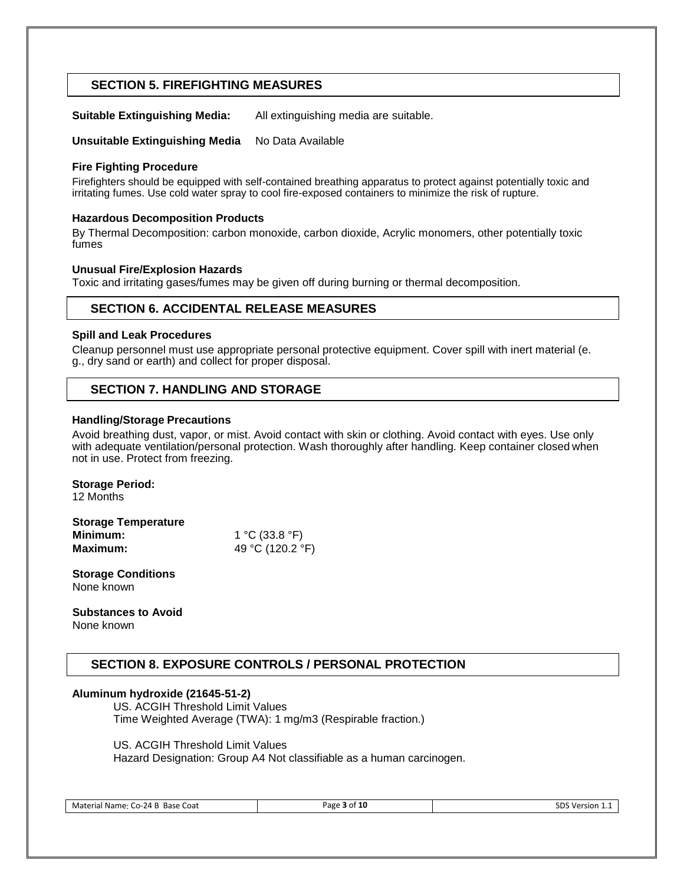# **SECTION 5. FIREFIGHTING MEASURES**

**Suitable Extinguishing Media:** All extinguishing media are suitable.

**Unsuitable Extinguishing Media** No Data Available

#### **Fire Fighting Procedure**

Firefighters should be equipped with self-contained breathing apparatus to protect against potentially toxic and irritating fumes. Use cold water spray to cool fire-exposed containers to minimize the risk of rupture.

#### **Hazardous Decomposition Products**

By Thermal Decomposition: carbon monoxide, carbon dioxide, Acrylic monomers, other potentially toxic fumes

#### **Unusual Fire/Explosion Hazards**

Toxic and irritating gases/fumes may be given off during burning or thermal decomposition.

# **SECTION 6. ACCIDENTAL RELEASE MEASURES**

#### **Spill and Leak Procedures**

Cleanup personnel must use appropriate personal protective equipment. Cover spill with inert material (e. g., dry sand or earth) and collect for proper disposal.

## **SECTION 7. HANDLING AND STORAGE**

#### **Handling/Storage Precautions**

Avoid breathing dust, vapor, or mist. Avoid contact with skin or clothing. Avoid contact with eyes. Use only with adequate ventilation/personal protection. Wash thoroughly after handling. Keep container closed when not in use. Protect from freezing.

#### **Storage Period:**

12 Months

| <b>Storage Temperature</b> |                  |
|----------------------------|------------------|
| Minimum:                   | 1 °C (33.8 °F)   |
| Maximum:                   | 49 °C (120.2 °F) |

**Storage Conditions** None known

**Substances to Avoid** None known

# **SECTION 8. EXPOSURE CONTROLS / PERSONAL PROTECTION**

#### **Aluminum hydroxide (21645-51-2)**

US. ACGIH Threshold Limit Values Time Weighted Average (TWA): 1 mg/m3 (Respirable fraction.)

US. ACGIH Threshold Limit Values

Hazard Designation: Group A4 Not classifiable as a human carcinogen.

Material Name: Co-24 B Base Coat **Page 3 of 10** Page **3 of 10** SDS Version 1.1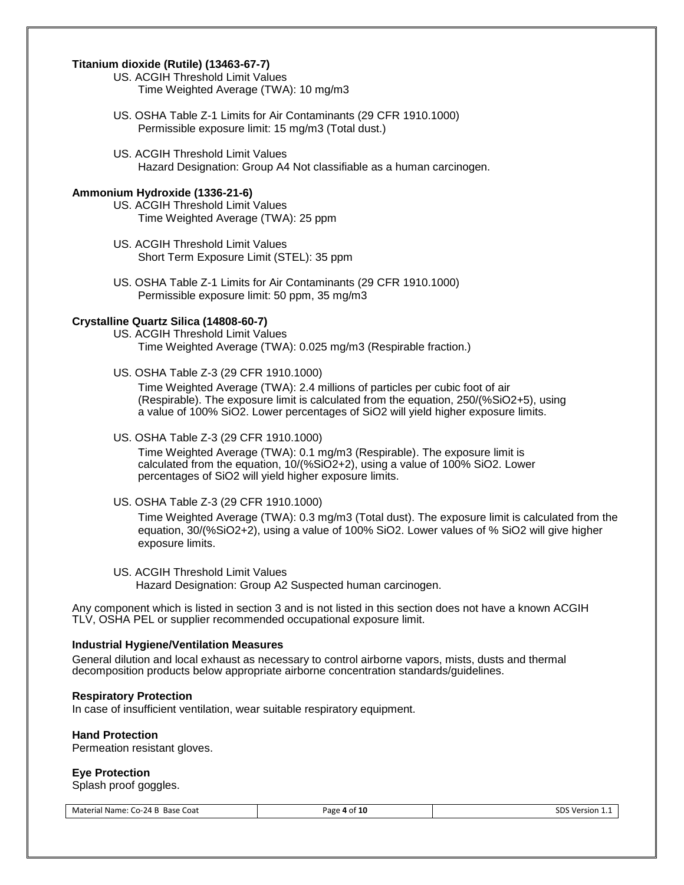### **Titanium dioxide (Rutile) (13463-67-7)**

- US. ACGIH Threshold Limit Values Time Weighted Average (TWA): 10 mg/m3
- US. OSHA Table Z-1 Limits for Air Contaminants (29 CFR 1910.1000) Permissible exposure limit: 15 mg/m3 (Total dust.)
- US. ACGIH Threshold Limit Values Hazard Designation: Group A4 Not classifiable as a human carcinogen.

#### **Ammonium Hydroxide (1336-21-6)**

- US. ACGIH Threshold Limit Values Time Weighted Average (TWA): 25 ppm
- US. ACGIH Threshold Limit Values Short Term Exposure Limit (STEL): 35 ppm
- US. OSHA Table Z-1 Limits for Air Contaminants (29 CFR 1910.1000) Permissible exposure limit: 50 ppm, 35 mg/m3

#### **Crystalline Quartz Silica (14808-60-7)**

- US. ACGIH Threshold Limit Values Time Weighted Average (TWA): 0.025 mg/m3 (Respirable fraction.)
- US. OSHA Table Z-3 (29 CFR 1910.1000)

Time Weighted Average (TWA): 2.4 millions of particles per cubic foot of air (Respirable). The exposure limit is calculated from the equation, 250/(%SiO2+5), using a value of 100% SiO2. Lower percentages of SiO2 will yield higher exposure limits.

US. OSHA Table Z-3 (29 CFR 1910.1000)

Time Weighted Average (TWA): 0.1 mg/m3 (Respirable). The exposure limit is calculated from the equation, 10/(%SiO2+2), using a value of 100% SiO2. Lower percentages of SiO2 will yield higher exposure limits.

US. OSHA Table Z-3 (29 CFR 1910.1000)

Time Weighted Average (TWA): 0.3 mg/m3 (Total dust). The exposure limit is calculated from the equation, 30/(%SiO2+2), using a value of 100% SiO2. Lower values of % SiO2 will give higher exposure limits.

US. ACGIH Threshold Limit Values Hazard Designation: Group A2 Suspected human carcinogen.

Any component which is listed in section 3 and is not listed in this section does not have a known ACGIH TLV, OSHA PEL or supplier recommended occupational exposure limit.

#### **Industrial Hygiene/Ventilation Measures**

General dilution and local exhaust as necessary to control airborne vapors, mists, dusts and thermal decomposition products below appropriate airborne concentration standards/guidelines.

#### **Respiratory Protection**

In case of insufficient ventilation, wear suitable respiratory equipment.

#### **Hand Protection**

Permeation resistant gloves.

#### **Eye Protection**

Splash proof goggles.

| Material Name: Co-24 B Base Coat | Page 4 of 10 | SDS Version 1.1 |
|----------------------------------|--------------|-----------------|
|----------------------------------|--------------|-----------------|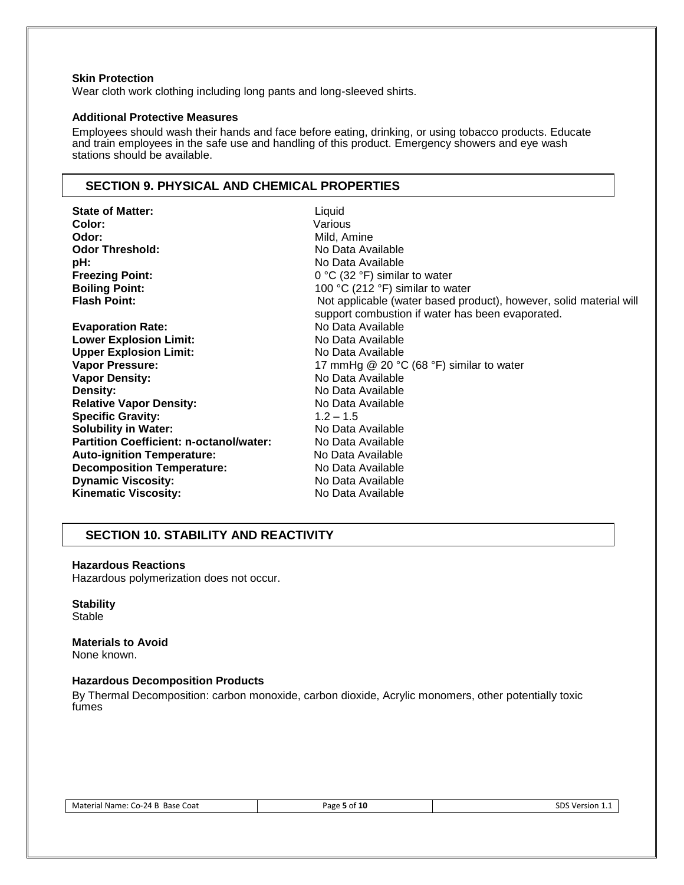#### **Skin Protection**

Wear cloth work clothing including long pants and long-sleeved shirts.

### **Additional Protective Measures**

Employees should wash their hands and face before eating, drinking, or using tobacco products. Educate and train employees in the safe use and handling of this product. Emergency showers and eye wash stations should be available.

# **SECTION 9. PHYSICAL AND CHEMICAL PROPERTIES**

| <b>State of Matter:</b>                        | Liquid                                                             |
|------------------------------------------------|--------------------------------------------------------------------|
| Color:                                         | Various                                                            |
| Odor:                                          | Mild, Amine                                                        |
| <b>Odor Threshold:</b>                         | No Data Available                                                  |
| pH:                                            | No Data Available                                                  |
| <b>Freezing Point:</b>                         | $0 °C$ (32 °F) similar to water                                    |
| <b>Boiling Point:</b>                          | 100 °C (212 °F) similar to water                                   |
| <b>Flash Point:</b>                            | Not applicable (water based product), however, solid material will |
|                                                | support combustion if water has been evaporated.                   |
| <b>Evaporation Rate:</b>                       | No Data Available                                                  |
| <b>Lower Explosion Limit:</b>                  | No Data Available                                                  |
| <b>Upper Explosion Limit:</b>                  | No Data Available                                                  |
| <b>Vapor Pressure:</b>                         | 17 mmHg $@$ 20 °C (68 °F) similar to water                         |
| <b>Vapor Density:</b>                          | No Data Available                                                  |
| Density:                                       | No Data Available                                                  |
| <b>Relative Vapor Density:</b>                 | No Data Available                                                  |
| <b>Specific Gravity:</b>                       | $1.2 - 1.5$                                                        |
| <b>Solubility in Water:</b>                    | No Data Available                                                  |
| <b>Partition Coefficient: n-octanol/water:</b> | No Data Available                                                  |
| <b>Auto-ignition Temperature:</b>              | No Data Available                                                  |
| <b>Decomposition Temperature:</b>              | No Data Available                                                  |
| <b>Dynamic Viscosity:</b>                      | No Data Available                                                  |
| <b>Kinematic Viscosity:</b>                    | No Data Available                                                  |

# **SECTION 10. STABILITY AND REACTIVITY**

#### **Hazardous Reactions**

Hazardous polymerization does not occur.

#### **Stability**

Stable

#### **Materials to Avoid** None known.

# **Hazardous Decomposition Products**

By Thermal Decomposition: carbon monoxide, carbon dioxide, Acrylic monomers, other potentially toxic fumes

| Page 5 of 10 | SDS Version |
|--------------|-------------|
|              |             |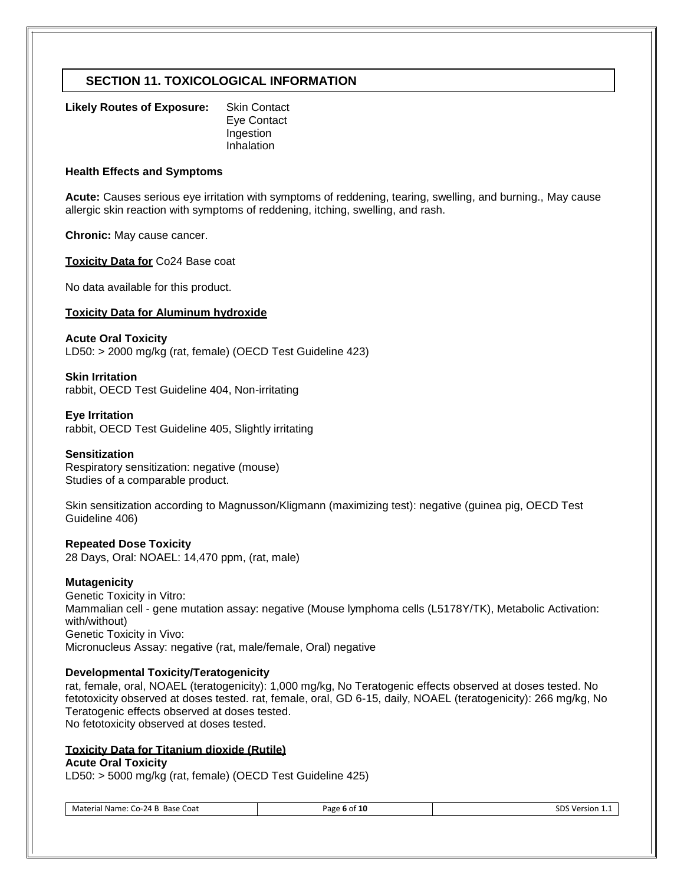# **SECTION 11. TOXICOLOGICAL INFORMATION**

| Likely Routes of Exposure: | <b>Skin Contact</b> |
|----------------------------|---------------------|
|                            | Eye Contact         |
|                            | Ingestion           |
|                            | Inhalation          |

#### **Health Effects and Symptoms**

**Acute:** Causes serious eye irritation with symptoms of reddening, tearing, swelling, and burning., May cause allergic skin reaction with symptoms of reddening, itching, swelling, and rash.

**Chronic:** May cause cancer.

**Toxicity Data for** Co24 Base coat

No data available for this product.

#### **Toxicity Data for Aluminum hydroxide**

**Acute Oral Toxicity** LD50: > 2000 mg/kg (rat, female) (OECD Test Guideline 423)

**Skin Irritation** rabbit, OECD Test Guideline 404, Non-irritating

**Eye Irritation** rabbit, OECD Test Guideline 405, Slightly irritating

#### **Sensitization**

Respiratory sensitization: negative (mouse) Studies of a comparable product.

Skin sensitization according to Magnusson/Kligmann (maximizing test): negative (guinea pig, OECD Test Guideline 406)

#### **Repeated Dose Toxicity**

28 Days, Oral: NOAEL: 14,470 ppm, (rat, male)

#### **Mutagenicity**

Genetic Toxicity in Vitro: Mammalian cell - gene mutation assay: negative (Mouse lymphoma cells (L5178Y/TK), Metabolic Activation: with/without) Genetic Toxicity in Vivo: Micronucleus Assay: negative (rat, male/female, Oral) negative

#### **Developmental Toxicity/Teratogenicity**

rat, female, oral, NOAEL (teratogenicity): 1,000 mg/kg, No Teratogenic effects observed at doses tested. No fetotoxicity observed at doses tested. rat, female, oral, GD 6-15, daily, NOAEL (teratogenicity): 266 mg/kg, No Teratogenic effects observed at doses tested. No fetotoxicity observed at doses tested.

## **Toxicity Data for Titanium dioxide (Rutile)**

#### **Acute Oral Toxicity**

LD50: > 5000 mg/kg (rat, female) (OECD Test Guideline 425)

Material Name: Co-24 B Base Coat **Page 6 of 10** Page 6 of 10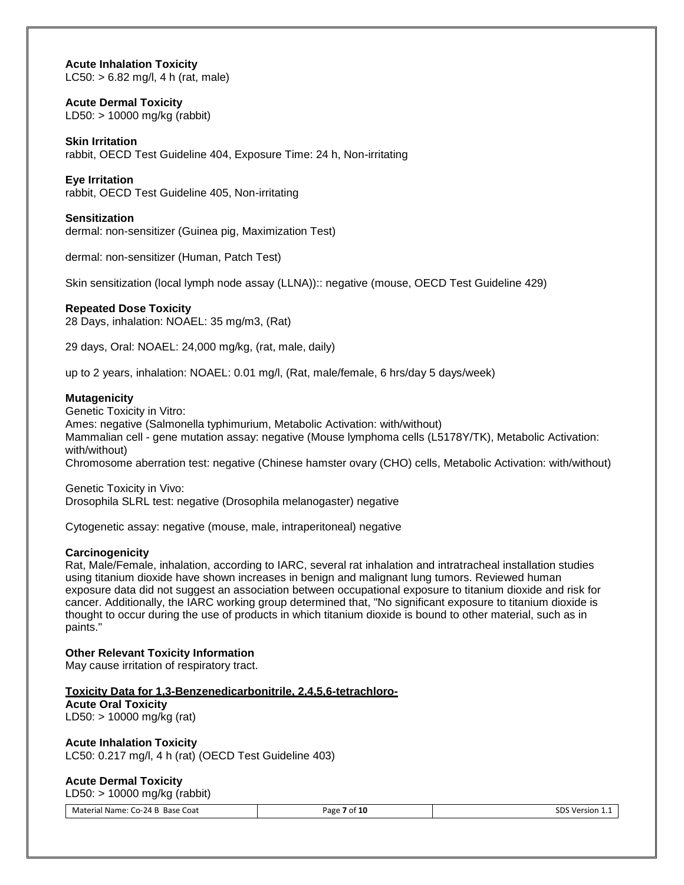#### **Acute Inhalation Toxicity**

LC50:  $> 6.82$  mg/l, 4 h (rat, male)

#### **Acute Dermal Toxicity**

LD50: > 10000 mg/kg (rabbit)

#### **Skin Irritation**

rabbit, OECD Test Guideline 404, Exposure Time: 24 h, Non-irritating

#### **Eye Irritation**

rabbit, OECD Test Guideline 405, Non-irritating

#### **Sensitization**

dermal: non-sensitizer (Guinea pig, Maximization Test)

dermal: non-sensitizer (Human, Patch Test)

Skin sensitization (local lymph node assay (LLNA)):: negative (mouse, OECD Test Guideline 429)

#### **Repeated Dose Toxicity**

28 Days, inhalation: NOAEL: 35 mg/m3, (Rat)

29 days, Oral: NOAEL: 24,000 mg/kg, (rat, male, daily)

up to 2 years, inhalation: NOAEL: 0.01 mg/l, (Rat, male/female, 6 hrs/day 5 days/week)

#### **Mutagenicity**

Genetic Toxicity in Vitro: Ames: negative (Salmonella typhimurium, Metabolic Activation: with/without) Mammalian cell - gene mutation assay: negative (Mouse lymphoma cells (L5178Y/TK), Metabolic Activation: with/without) Chromosome aberration test: negative (Chinese hamster ovary (CHO) cells, Metabolic Activation: with/without)

Genetic Toxicity in Vivo: Drosophila SLRL test: negative (Drosophila melanogaster) negative

Cytogenetic assay: negative (mouse, male, intraperitoneal) negative

#### **Carcinogenicity**

Rat, Male/Female, inhalation, according to IARC, several rat inhalation and intratracheal installation studies using titanium dioxide have shown increases in benign and malignant lung tumors. Reviewed human exposure data did not suggest an association between occupational exposure to titanium dioxide and risk for cancer. Additionally, the IARC working group determined that, "No significant exposure to titanium dioxide is thought to occur during the use of products in which titanium dioxide is bound to other material, such as in paints."

#### **Other Relevant Toxicity Information**

May cause irritation of respiratory tract.

#### **Toxicity Data for 1,3-Benzenedicarbonitrile, 2,4,5,6-tetrachloro-**

**Acute Oral Toxicity** LD50: > 10000 mg/kg (rat)

#### **Acute Inhalation Toxicity**

LC50: 0.217 mg/l, 4 h (rat) (OECD Test Guideline 403)

#### **Acute Dermal Toxicity**

LD50: > 10000 mg/kg (rabbit)

| Material Name: Co-24 B Base Coat | Page 7 of 10 | SDS Version 1.1 |
|----------------------------------|--------------|-----------------|
|----------------------------------|--------------|-----------------|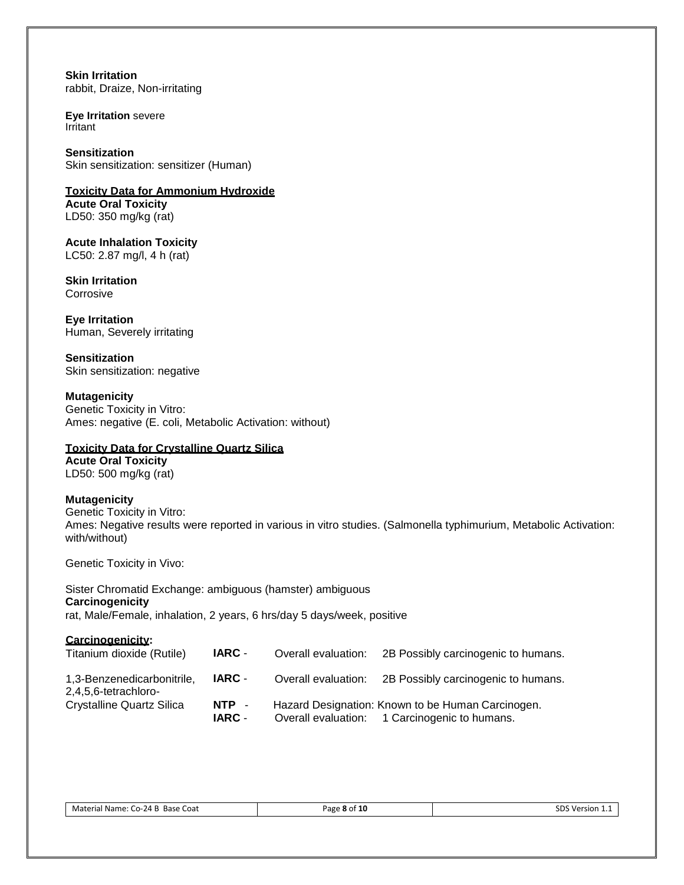**Skin Irritation** rabbit, Draize, Non-irritating

**Eye Irritation** severe Irritant

**Sensitization** Skin sensitization: sensitizer (Human)

**Toxicity Data for Ammonium Hydroxide Acute Oral Toxicity** LD50: 350 mg/kg (rat)

**Acute Inhalation Toxicity** LC50: 2.87 mg/l, 4 h (rat)

**Skin Irritation Corrosive** 

**Eye Irritation** Human, Severely irritating

**Sensitization** Skin sensitization: negative

**Mutagenicity** Genetic Toxicity in Vitro: Ames: negative (E. coli, Metabolic Activation: without)

#### **Toxicity Data for Crystalline Quartz Silica**

**Acute Oral Toxicity** LD50: 500 mg/kg (rat)

#### **Mutagenicity**

Genetic Toxicity in Vitro: Ames: Negative results were reported in various in vitro studies. (Salmonella typhimurium, Metabolic Activation: with/without)

Genetic Toxicity in Vivo:

Sister Chromatid Exchange: ambiguous (hamster) ambiguous **Carcinogenicity** rat, Male/Female, inhalation, 2 years, 6 hrs/day 5 days/week, positive

| Carcinogenicity:<br>Titanium dioxide (Rutile)      | IARC -                 | Overall evaluation: | 2B Possibly carcinogenic to humans.                                                                |
|----------------------------------------------------|------------------------|---------------------|----------------------------------------------------------------------------------------------------|
| 1,3-Benzenedicarbonitrile,<br>2,4,5,6-tetrachloro- | IARC -                 | Overall evaluation: | 2B Possibly carcinogenic to humans.                                                                |
| Crystalline Quartz Silica                          | NTP -<br><b>IARC -</b> |                     | Hazard Designation: Known to be Human Carcinogen.<br>Overall evaluation: 1 Carcinogenic to humans. |

| Base<br>Coat<br>Material<br>u Name: ′<br>- יוני<br>-CO-<br>-47<br>. . | Page<br><b>15</b><br>- LV<br>$\sim$ (<br>. | nc<br>Version<br>ப<br>. .<br>. |
|-----------------------------------------------------------------------|--------------------------------------------|--------------------------------|
|                                                                       |                                            |                                |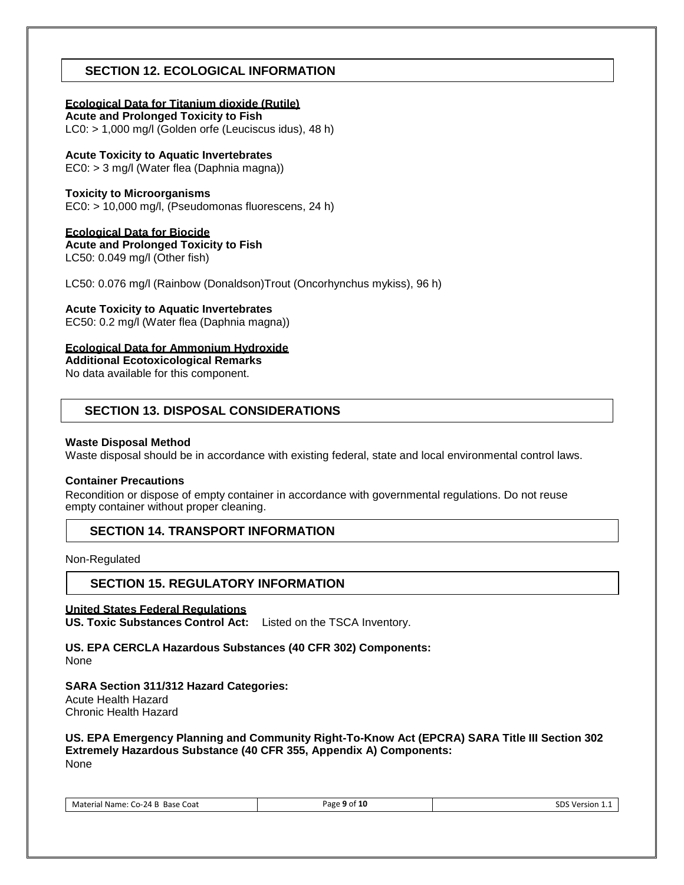# **SECTION 12. ECOLOGICAL INFORMATION**

#### **Ecological Data for Titanium dioxide (Rutile)**

**Acute and Prolonged Toxicity to Fish** LC0: > 1,000 mg/l (Golden orfe (Leuciscus idus), 48 h)

# **Acute Toxicity to Aquatic Invertebrates**

EC0: > 3 mg/l (Water flea (Daphnia magna))

## **Toxicity to Microorganisms**

EC0: > 10,000 mg/l, (Pseudomonas fluorescens, 24 h)

## **Ecological Data for Biocide**

**Acute and Prolonged Toxicity to Fish**

LC50: 0.049 mg/l (Other fish)

LC50: 0.076 mg/l (Rainbow (Donaldson)Trout (Oncorhynchus mykiss), 96 h)

## **Acute Toxicity to Aquatic Invertebrates**

EC50: 0.2 mg/l (Water flea (Daphnia magna))

## **Ecological Data for Ammonium Hydroxide**

**Additional Ecotoxicological Remarks**

No data available for this component.

# **SECTION 13. DISPOSAL CONSIDERATIONS**

#### **Waste Disposal Method**

Waste disposal should be in accordance with existing federal, state and local environmental control laws.

#### **Container Precautions**

Recondition or dispose of empty container in accordance with governmental regulations. Do not reuse empty container without proper cleaning.

## **SECTION 14. TRANSPORT INFORMATION**

Non-Regulated

## **SECTION 15. REGULATORY INFORMATION**

#### **United States Federal Regulations**

**US. Toxic Substances Control Act:** Listed on the TSCA Inventory.

# **US. EPA CERCLA Hazardous Substances (40 CFR 302) Components:**

None

## **SARA Section 311/312 Hazard Categories:**

Acute Health Hazard Chronic Health Hazard

#### **US. EPA Emergency Planning and Community Right-To-Know Act (EPCRA) SARA Title III Section 302 Extremely Hazardous Substance (40 CFR 355, Appendix A) Components:** None

Material Name: Co-24 B Base Coat **Page 9 of 10** Page 9 of 10